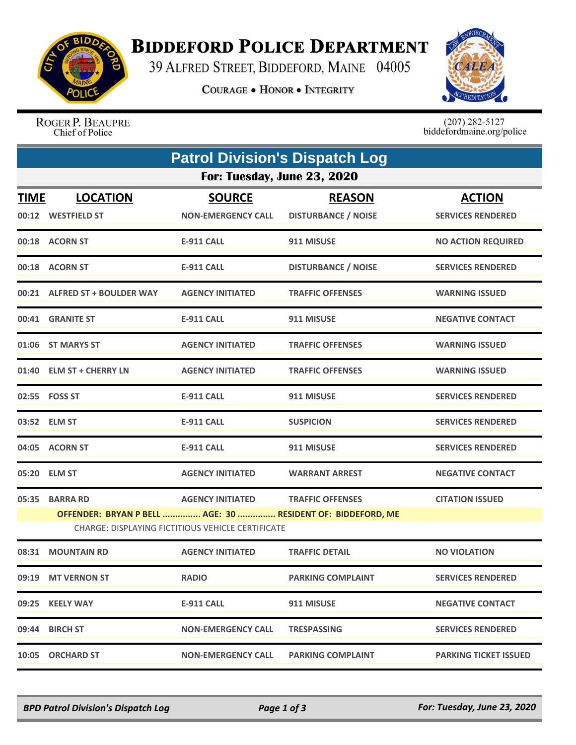

## **BIDDEFORD POLICE DEPARTMENT**

39 ALFRED STREET, BIDDEFORD, MAINE 04005

**COURAGE . HONOR . INTEGRITY** 



ROGER P. BEAUPRE Chief of Police

 $(207)$  282-5127<br>biddefordmaine.org/police

| <b>Patrol Division's Dispatch Log</b> |                               |                                                   |                                                             |                              |  |  |  |  |
|---------------------------------------|-------------------------------|---------------------------------------------------|-------------------------------------------------------------|------------------------------|--|--|--|--|
| For: Tuesday, June 23, 2020           |                               |                                                   |                                                             |                              |  |  |  |  |
| <u>TIME</u>                           | <b>LOCATION</b>               | <b>SOURCE</b>                                     | <b>REASON</b>                                               | <b>ACTION</b>                |  |  |  |  |
|                                       | 00:12 WESTFIELD ST            | <b>NON-EMERGENCY CALL</b>                         | <b>DISTURBANCE / NOISE</b>                                  | <b>SERVICES RENDERED</b>     |  |  |  |  |
|                                       | 00:18 ACORN ST                | <b>E-911 CALL</b>                                 | 911 MISUSE                                                  | <b>NO ACTION REQUIRED</b>    |  |  |  |  |
|                                       | 00:18 ACORN ST                | <b>E-911 CALL</b>                                 | <b>DISTURBANCE / NOISE</b>                                  | <b>SERVICES RENDERED</b>     |  |  |  |  |
|                                       | 00:21 ALFRED ST + BOULDER WAY | <b>AGENCY INITIATED</b>                           | <b>TRAFFIC OFFENSES</b>                                     | <b>WARNING ISSUED</b>        |  |  |  |  |
|                                       | 00:41 GRANITE ST              | E-911 CALL                                        | 911 MISUSE                                                  | <b>NEGATIVE CONTACT</b>      |  |  |  |  |
|                                       | 01:06 ST MARYS ST             | <b>AGENCY INITIATED</b>                           | <b>TRAFFIC OFFENSES</b>                                     | <b>WARNING ISSUED</b>        |  |  |  |  |
|                                       | 01:40 ELM ST + CHERRY LN      | <b>AGENCY INITIATED</b>                           | <b>TRAFFIC OFFENSES</b>                                     | <b>WARNING ISSUED</b>        |  |  |  |  |
|                                       | 02:55    FOSS ST              | <b>E-911 CALL</b>                                 | 911 MISUSE                                                  | <b>SERVICES RENDERED</b>     |  |  |  |  |
|                                       | 03:52 ELM ST                  | <b>E-911 CALL</b>                                 | <b>SUSPICION</b>                                            | <b>SERVICES RENDERED</b>     |  |  |  |  |
|                                       | 04:05 ACORN ST                | <b>E-911 CALL</b>                                 | 911 MISUSE                                                  | <b>SERVICES RENDERED</b>     |  |  |  |  |
|                                       | 05:20 ELM ST                  | <b>AGENCY INITIATED</b>                           | <b>WARRANT ARREST</b>                                       | <b>NEGATIVE CONTACT</b>      |  |  |  |  |
| 05:35                                 | <b>BARRA RD</b>               | <b>AGENCY INITIATED</b>                           | <b>TRAFFIC OFFENSES</b>                                     | <b>CITATION ISSUED</b>       |  |  |  |  |
|                                       |                               |                                                   | OFFENDER: BRYAN P BELL  AGE: 30  RESIDENT OF: BIDDEFORD, ME |                              |  |  |  |  |
|                                       |                               | CHARGE: DISPLAYING FICTITIOUS VEHICLE CERTIFICATE |                                                             |                              |  |  |  |  |
|                                       | 08:31 MOUNTAIN RD             | <b>AGENCY INITIATED</b>                           | <b>TRAFFIC DETAIL</b>                                       | <b>NO VIOLATION</b>          |  |  |  |  |
|                                       | 09:19 MT VERNON ST            | <b>RADIO</b>                                      | <b>PARKING COMPLAINT</b>                                    | <b>SERVICES RENDERED</b>     |  |  |  |  |
|                                       | 09:25 KEELY WAY               | <b>E-911 CALL</b>                                 | 911 MISUSE                                                  | <b>NEGATIVE CONTACT</b>      |  |  |  |  |
|                                       | 09:44 BIRCH ST                | <b>NON-EMERGENCY CALL</b>                         | <b>TRESPASSING</b>                                          | <b>SERVICES RENDERED</b>     |  |  |  |  |
|                                       | 10:05 ORCHARD ST              | <b>NON-EMERGENCY CALL</b>                         | <b>PARKING COMPLAINT</b>                                    | <b>PARKING TICKET ISSUED</b> |  |  |  |  |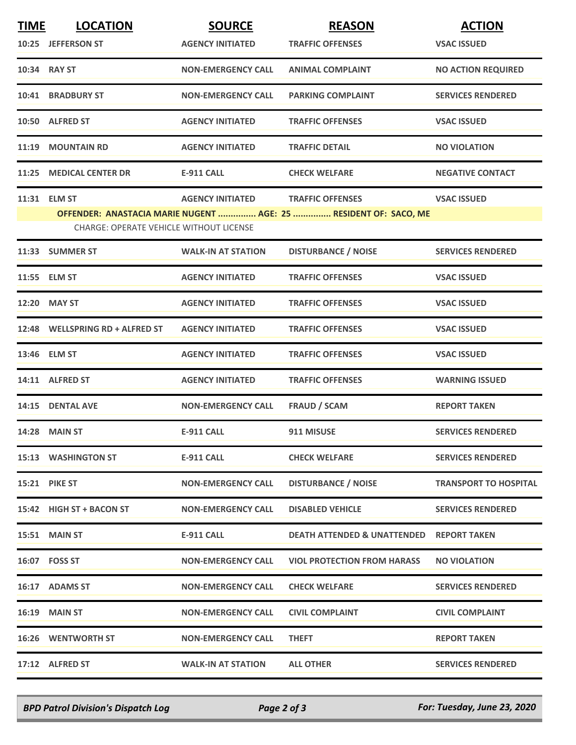| <b>TIME</b>                                                                                                 | <b>LOCATION</b>                 | <b>SOURCE</b>             | <b>REASON</b>                                       | <b>ACTION</b>                |  |  |  |
|-------------------------------------------------------------------------------------------------------------|---------------------------------|---------------------------|-----------------------------------------------------|------------------------------|--|--|--|
|                                                                                                             | 10:25 JEFFERSON ST              | <b>AGENCY INITIATED</b>   | <b>TRAFFIC OFFENSES</b>                             | <b>VSAC ISSUED</b>           |  |  |  |
|                                                                                                             | 10:34 RAY ST                    | <b>NON-EMERGENCY CALL</b> | <b>ANIMAL COMPLAINT</b>                             | <b>NO ACTION REQUIRED</b>    |  |  |  |
|                                                                                                             | <b>10:41 BRADBURY ST</b>        | <b>NON-EMERGENCY CALL</b> | <b>PARKING COMPLAINT</b>                            | <b>SERVICES RENDERED</b>     |  |  |  |
|                                                                                                             | 10:50 ALFRED ST                 | <b>AGENCY INITIATED</b>   | <b>TRAFFIC OFFENSES</b>                             | <b>VSAC ISSUED</b>           |  |  |  |
| 11:19                                                                                                       | <b>MOUNTAIN RD</b>              | <b>AGENCY INITIATED</b>   | <b>TRAFFIC DETAIL</b>                               | <b>NO VIOLATION</b>          |  |  |  |
| 11:25                                                                                                       | <b>MEDICAL CENTER DR</b>        | <b>E-911 CALL</b>         | <b>CHECK WELFARE</b>                                | <b>NEGATIVE CONTACT</b>      |  |  |  |
|                                                                                                             | 11:31 ELM ST                    | <b>AGENCY INITIATED</b>   | <b>TRAFFIC OFFENSES</b>                             | <b>VSAC ISSUED</b>           |  |  |  |
| OFFENDER: ANASTACIA MARIE NUGENT  AGE: 25  RESIDENT OF: SACO, ME<br>CHARGE: OPERATE VEHICLE WITHOUT LICENSE |                                 |                           |                                                     |                              |  |  |  |
|                                                                                                             | 11:33 SUMMER ST                 | <b>WALK-IN AT STATION</b> | <b>DISTURBANCE / NOISE</b>                          | <b>SERVICES RENDERED</b>     |  |  |  |
|                                                                                                             | 11:55 ELM ST                    | <b>AGENCY INITIATED</b>   | <b>TRAFFIC OFFENSES</b>                             | <b>VSAC ISSUED</b>           |  |  |  |
|                                                                                                             | 12:20 MAY ST                    | <b>AGENCY INITIATED</b>   | <b>TRAFFIC OFFENSES</b>                             | <b>VSAC ISSUED</b>           |  |  |  |
|                                                                                                             | 12:48 WELLSPRING RD + ALFRED ST | <b>AGENCY INITIATED</b>   | <b>TRAFFIC OFFENSES</b>                             | <b>VSAC ISSUED</b>           |  |  |  |
|                                                                                                             | 13:46 ELM ST                    | <b>AGENCY INITIATED</b>   | <b>TRAFFIC OFFENSES</b>                             | <b>VSAC ISSUED</b>           |  |  |  |
|                                                                                                             | 14:11 ALFRED ST                 | <b>AGENCY INITIATED</b>   | <b>TRAFFIC OFFENSES</b>                             | <b>WARNING ISSUED</b>        |  |  |  |
|                                                                                                             | 14:15 DENTAL AVE                | <b>NON-EMERGENCY CALL</b> | <b>FRAUD / SCAM</b>                                 | <b>REPORT TAKEN</b>          |  |  |  |
|                                                                                                             | <b>14:28 MAIN ST</b>            | <b>E-911 CALL</b>         | 911 MISUSE                                          | <b>SERVICES RENDERED</b>     |  |  |  |
|                                                                                                             | <b>15:13 WASHINGTON ST</b>      | E-911 CALL                | <b>CHECK WELFARE</b>                                | <b>SERVICES RENDERED</b>     |  |  |  |
|                                                                                                             | <b>15:21 PIKE ST</b>            | <b>NON-EMERGENCY CALL</b> | <b>DISTURBANCE / NOISE</b>                          | <b>TRANSPORT TO HOSPITAL</b> |  |  |  |
|                                                                                                             | 15:42 HIGH ST + BACON ST        | <b>NON-EMERGENCY CALL</b> | <b>DISABLED VEHICLE</b>                             | <b>SERVICES RENDERED</b>     |  |  |  |
|                                                                                                             | <b>15:51 MAIN ST</b>            | <b>E-911 CALL</b>         | <b>DEATH ATTENDED &amp; UNATTENDED REPORT TAKEN</b> |                              |  |  |  |
|                                                                                                             | 16:07    FOSS ST                | <b>NON-EMERGENCY CALL</b> | <b>VIOL PROTECTION FROM HARASS</b>                  | <b>NO VIOLATION</b>          |  |  |  |
|                                                                                                             | 16:17 ADAMS ST                  | <b>NON-EMERGENCY CALL</b> | <b>CHECK WELFARE</b>                                | <b>SERVICES RENDERED</b>     |  |  |  |
|                                                                                                             | 16:19 MAIN ST                   | <b>NON-EMERGENCY CALL</b> | <b>CIVIL COMPLAINT</b>                              | <b>CIVIL COMPLAINT</b>       |  |  |  |
|                                                                                                             | <b>16:26 WENTWORTH ST</b>       | <b>NON-EMERGENCY CALL</b> | <b>THEFT</b>                                        | <b>REPORT TAKEN</b>          |  |  |  |
|                                                                                                             | 17:12 ALFRED ST                 | <b>WALK-IN AT STATION</b> | <b>ALL OTHER</b>                                    | <b>SERVICES RENDERED</b>     |  |  |  |

*BPD Patrol Division's Dispatch Log Page 2 of 3 For: Tuesday, June 23, 2020*